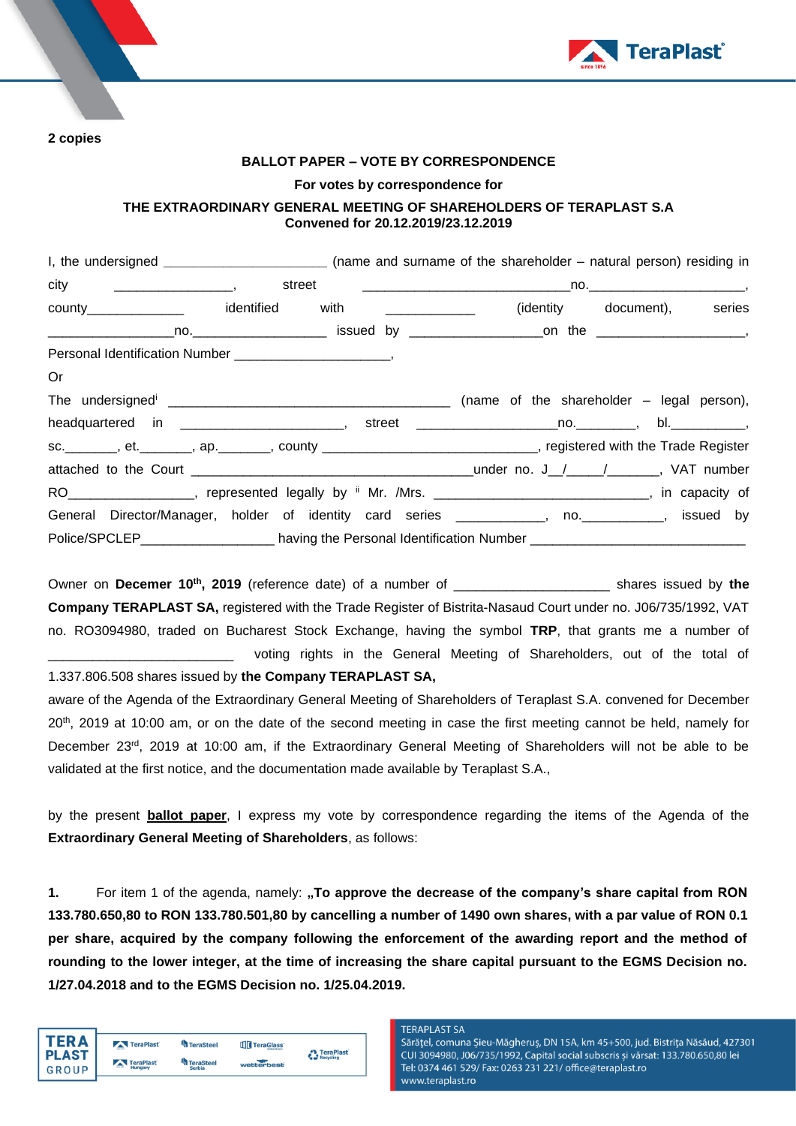



### **BALLOT PAPER – VOTE BY CORRESPONDENCE**

### **For votes by correspondence for**

## **THE EXTRAORDINARY GENERAL MEETING OF SHAREHOLDERS OF TERAPLAST S.A Convened for 20.12.2019/23.12.2019**

|                                                                                                                   | I, the undersigned _________________________________ (name and surname of the shareholder – natural person) residing in |                             |  |
|-------------------------------------------------------------------------------------------------------------------|-------------------------------------------------------------------------------------------------------------------------|-----------------------------|--|
|                                                                                                                   |                                                                                                                         |                             |  |
| county________________ identified with _____________                                                              |                                                                                                                         | (identity document), series |  |
|                                                                                                                   |                                                                                                                         |                             |  |
|                                                                                                                   |                                                                                                                         |                             |  |
| Or                                                                                                                |                                                                                                                         |                             |  |
|                                                                                                                   |                                                                                                                         |                             |  |
|                                                                                                                   |                                                                                                                         |                             |  |
| sc. ________, et. _______, ap. _______, county ______________________________, registered with the Trade Register |                                                                                                                         |                             |  |
|                                                                                                                   |                                                                                                                         |                             |  |
| RO ___________________, represented legally by " Mr. /Mrs. _______________________________, in capacity of        |                                                                                                                         |                             |  |
| General Director/Manager, holder of identity card series _____________, no. ___________, issued by                |                                                                                                                         |                             |  |
| Police/SPCLEP_________________________ having the Personal Identification Number _____________________________    |                                                                                                                         |                             |  |

Owner on **Decemer 10 th , 2019** (reference date) of a number of \_\_\_\_\_\_\_\_\_\_\_\_\_\_\_\_\_\_\_\_\_ shares issued by **the Company TERAPLAST SA,** registered with the Trade Register of Bistrita-Nasaud Court under no. J06/735/1992, VAT no. RO3094980, traded on Bucharest Stock Exchange, having the symbol **TRP**, that grants me a number of voting rights in the General Meeting of Shareholders, out of the total of

1.337.806.508 shares issued by **the Company TERAPLAST SA,**

aware of the Agenda of the Extraordinary General Meeting of Shareholders of Teraplast S.A. convened for December 20<sup>th</sup>, 2019 at 10:00 am, or on the date of the second meeting in case the first meeting cannot be held, namely for December 23<sup>rd</sup>, 2019 at 10:00 am, if the Extraordinary General Meeting of Shareholders will not be able to be validated at the first notice, and the documentation made available by Teraplast S.A.,

by the present **ballot paper**, I express my vote by correspondence regarding the items of the Agenda of the **Extraordinary General Meeting of Shareholders**, as follows:

**1.** For item 1 of the agenda, namely: "To approve the decrease of the company's share capital from RON **133.780.650,80 to RON 133.780.501,80 by cancelling a number of 1490 own shares, with a par value of RON 0.1 per share, acquired by the company following the enforcement of the awarding report and the method of rounding to the lower integer, at the time of increasing the share capital pursuant to the EGMS Decision no. 1/27.04.2018 and to the EGMS Decision no. 1/25.04.2019.**

| <b>TERA</b>                  | TeraPlast                              | <b>TeraSteel</b>                  | <b>TTT</b> TeraGlass | <b>A</b> TeraPlast |
|------------------------------|----------------------------------------|-----------------------------------|----------------------|--------------------|
| <b>PLAST</b><br><b>GROUP</b> | TeraPlast<br>$\overline{a}$<br>Hungary | <b>TeraSteel</b><br><b>Serbia</b> | wetterbest           | Recycling          |

#### **TFRAPI AST SA**

Sărățel, comuna Șieu-Măgheruș, DN 15A, km 45+500, jud. Bistrița Năsăud, 427301 CUI 3094980, J06/735/1992, Capital social subscris și vărsat: 133.780.650,80 lei Tel: 0374 461 529/ Fax: 0263 231 221/ office@teraplast.ro www.teraplast.ro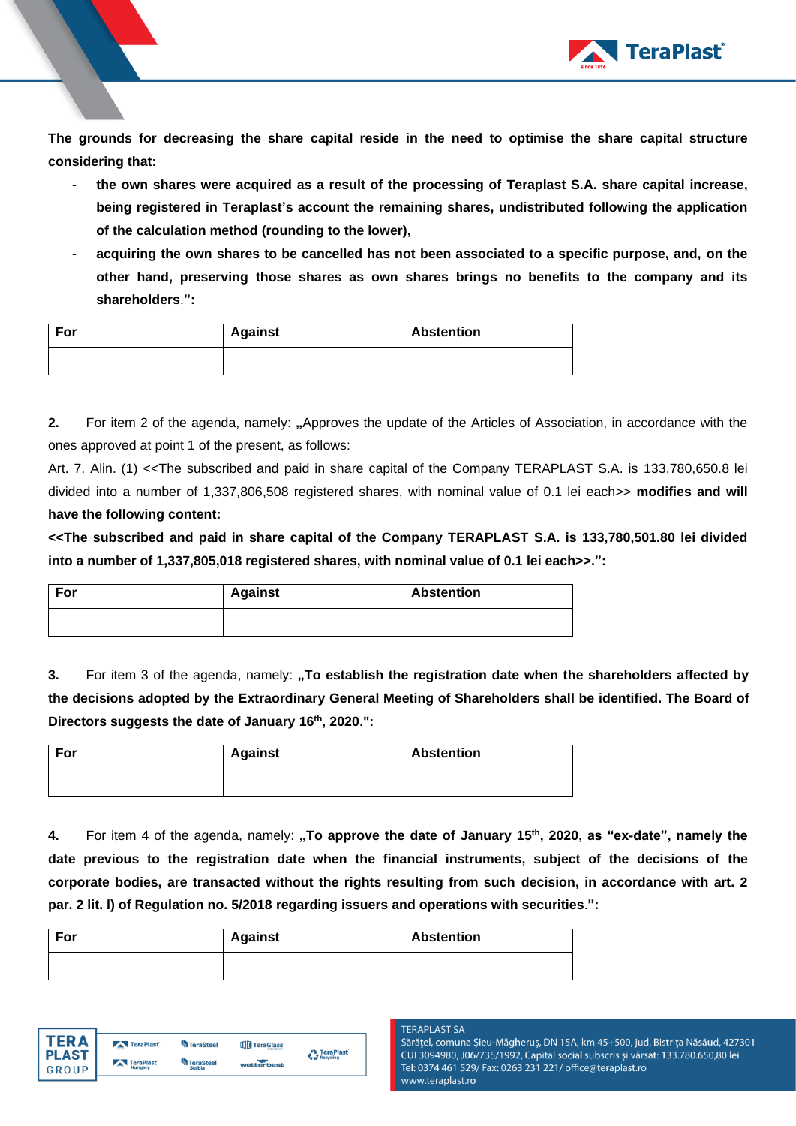

**The grounds for decreasing the share capital reside in the need to optimise the share capital structure considering that:**

- **the own shares were acquired as a result of the processing of Teraplast S.A. share capital increase, being registered in Teraplast's account the remaining shares, undistributed following the application of the calculation method (rounding to the lower),**
- **acquiring the own shares to be cancelled has not been associated to a specific purpose, and, on the other hand, preserving those shares as own shares brings no benefits to the company and its shareholders**.**":**

| For | <b>Against</b> | <b>Abstention</b> |
|-----|----------------|-------------------|
|     |                |                   |

**2.** For item 2 of the agenda, namely: "Approves the update of the Articles of Association, in accordance with the ones approved at point 1 of the present, as follows:

Art. 7. Alin. (1) <<The subscribed and paid in share capital of the Company TERAPLAST S.A. is 133,780,650.8 lei divided into a number of 1,337,806,508 registered shares, with nominal value of 0.1 lei each>> **modifies and will have the following content:**

**<<The subscribed and paid in share capital of the Company TERAPLAST S.A. is 133,780,501.80 lei divided into a number of 1,337,805,018 registered shares, with nominal value of 0.1 lei each>>.":**

| For | <b>Against</b> | <b>Abstention</b> |
|-----|----------------|-------------------|
|     |                |                   |

**3.** For item 3 of the agenda, namely: "To establish the registration date when the shareholders affected by **the decisions adopted by the Extraordinary General Meeting of Shareholders shall be identified. The Board of Directors suggests the date of January 16th , 2020**.**":**

| For | <b>Against</b> | <b>Abstention</b> |
|-----|----------------|-------------------|
|     |                |                   |

**4.** For item 4 of the agenda, namely: **"To approve the date of January 15 th , 2020, as "ex-date", namely the date previous to the registration date when the financial instruments, subject of the decisions of the corporate bodies, are transacted without the rights resulting from such decision, in accordance with art. 2 par. 2 lit. l) of Regulation no. 5/2018 regarding issuers and operations with securities**.**":**

| For | <b>Against</b> | <b>Abstention</b> |  |  |
|-----|----------------|-------------------|--|--|
|     |                |                   |  |  |



## **TFRAPI AST SA**

Sărățel, comuna Șieu-Măgheruș, DN 15A, km 45+500, jud. Bistrița Năsăud, 427301 CUI 3094980, J06/735/1992, Capital social subscris și vărsat: 133.780.650,80 lei Tel: 0374 461 529/ Fax: 0263 231 221/ office@teraplast.ro www.teraplast.ro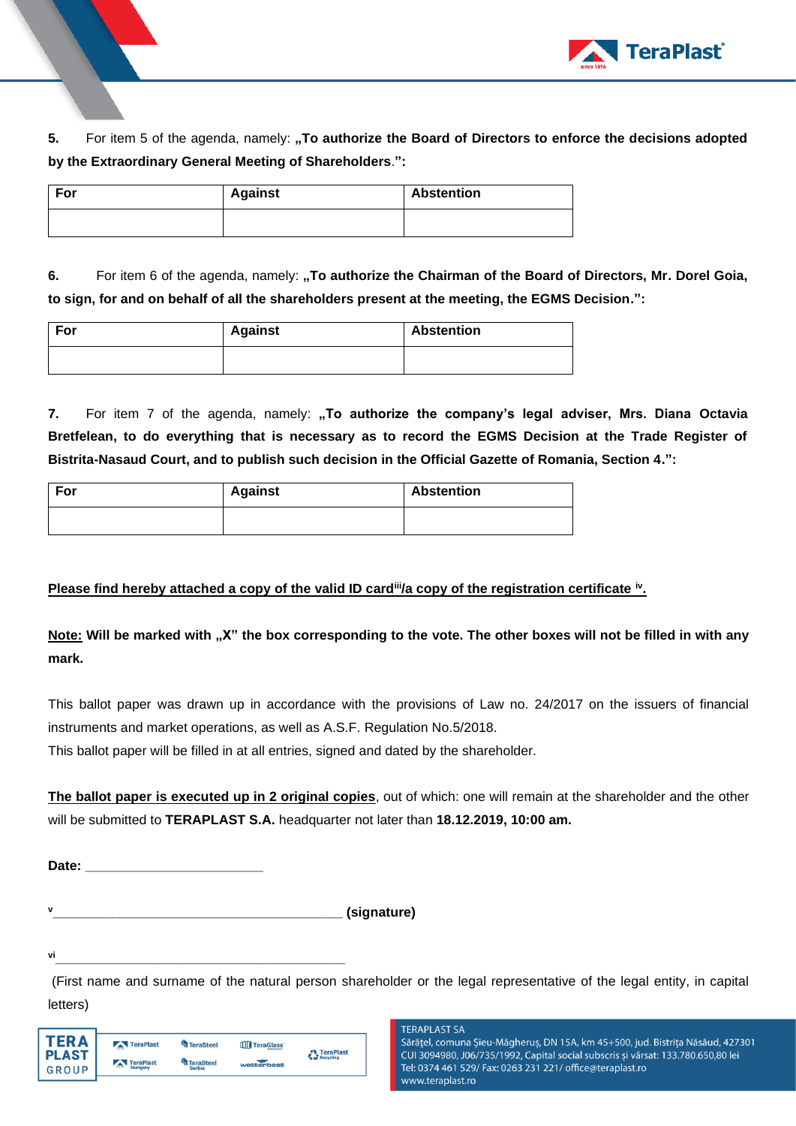

**5.** For item 5 of the agenda, namely: **"To authorize the Board of Directors to enforce the decisions adopted by the Extraordinary General Meeting of Shareholders**.**":**

| For | <b>Against</b> | <b>Abstention</b> |
|-----|----------------|-------------------|
|     |                |                   |

**6.** For item 6 of the agenda, namely: "To authorize the Chairman of the Board of Directors, Mr. Dorel Goia, **to sign, for and on behalf of all the shareholders present at the meeting, the EGMS Decision.":** 

| For | <b>Against</b> | <b>Abstention</b> |
|-----|----------------|-------------------|
|     |                |                   |

**7.** For item 7 of the agenda, namely: "To authorize the company's legal adviser, Mrs. Diana Octavia **Bretfelean, to do everything that is necessary as to record the EGMS Decision at the Trade Register of Bistrita-Nasaud Court, and to publish such decision in the Official Gazette of Romania, Section 4.":**

| For | <b>Against</b> | <b>Abstention</b> |
|-----|----------------|-------------------|
|     |                |                   |

# **Please find hereby attached a copy of the valid ID card<sup>ii</sup>/a copy of the registration certificate <sup>iv</sup>.**

**Note: Will be marked with "X" the box corresponding to the vote. The other boxes will not be filled in with any mark.** 

This ballot paper was drawn up in accordance with the provisions of Law no. 24/2017 on the issuers of financial instruments and market operations, as well as A.S.F. Regulation No.5/2018.

This ballot paper will be filled in at all entries, signed and dated by the shareholder.

**The ballot paper is executed up in 2 original copies**, out of which: one will remain at the shareholder and the other will be submitted to **TERAPLAST S.A.** headquarter not later than **18.12.2019, 10:00 am.** 

**Date: \_\_\_\_\_\_\_\_\_\_\_\_\_\_\_\_\_\_\_\_\_\_\_\_**

**<sup>v</sup>\_\_\_\_\_\_\_\_\_\_\_\_\_\_\_\_\_\_\_\_\_\_\_\_\_\_\_\_\_\_\_\_\_\_\_\_\_\_\_ (signature)**

**vi\_\_\_\_\_\_\_\_\_\_\_\_\_\_\_\_\_\_\_\_\_\_\_\_\_\_\_\_\_\_\_\_\_\_\_\_\_\_\_**

(First name and surname of the natural person shareholder or the legal representative of the legal entity, in capital letters)

| TFR A        | TeraPlast      | TeraSteel        | TeraGlass  | <b>A</b> TeraPlast |
|--------------|----------------|------------------|------------|--------------------|
| <b>PLAST</b> | TeraPlast      | <b>TeraSteel</b> |            | Recycling          |
| <b>GROUP</b> | $-$<br>Hungary | <b>Serbia</b>    | wetterbest |                    |

**TERAPLAST SA** Sărățel, comuna Șieu-Măgheruș, DN 15A, km 45+500, jud. Bistrița Năsăud, 427301 CUI 3094980, J06/735/1992, Capital social subscris și vărsat: 133.780.650,80 lei Tel: 0374 461 529/ Fax: 0263 231 221/ office@teraplast.ro www.teraplast.ro